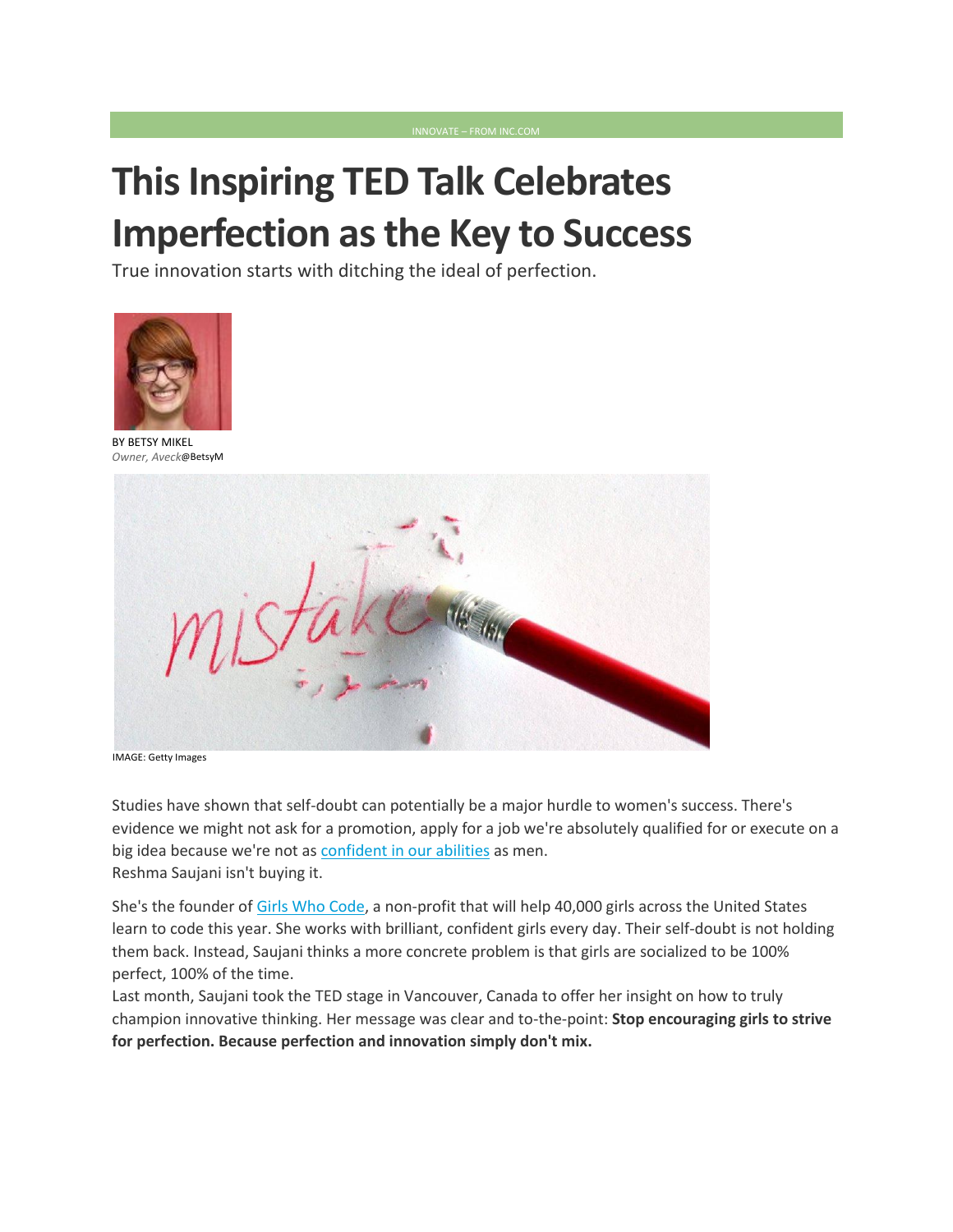## **This Inspiring TED Talk Celebrates Imperfection as the Key to Success**

True innovation starts with ditching the ideal of perfection.



BY BETSY [MIKEL](http://www.inc.com/author/betsy-mikel) *Owner, Aveck*@[BetsyM](http://www.twitter.com/BetsyM)



IMAGE: Getty Images

Studies have shown that self-doubt can potentially be a major hurdle to women's success. There's evidence we might not ask for a promotion, apply for a job we're absolutely qualified for or execute on a big idea because we're not as [confident in our abilities](http://www.theatlantic.com/magazine/archive/2014/05/the-confidence-gap/359815/) as men. Reshma Saujani isn't buying it.

She's the founder of [Girls Who Code,](http://girlswhocode.com/) a non-profit that will help 40,000 girls across the United States learn to code this year. She works with brilliant, confident girls every day. Their self-doubt is not holding them back. Instead, Saujani thinks a more concrete problem is that girls are socialized to be 100% perfect, 100% of the time.

Last month, Saujani took the TED stage in Vancouver, Canada to offer her insight on how to truly champion innovative thinking. Her message was clear and to-the-point: **Stop encouraging girls to strive for perfection. Because perfection and innovation simply don't mix.**